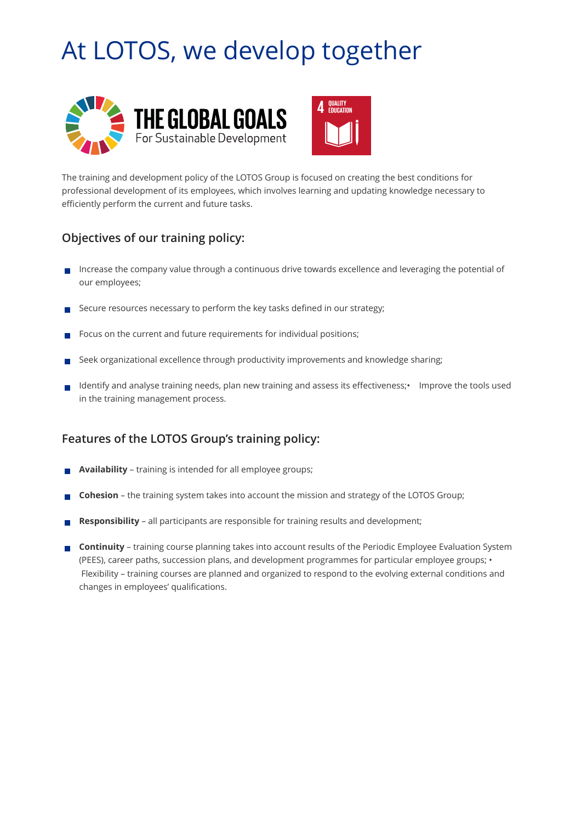## At LOTOS, we develop together





The training and development policy of the LOTOS Group is focused on creating the best conditions for professional development of its employees, which involves learning and updating knowledge necessary to efficiently perform the current and future tasks.

## **Objectives of our training policy:**

- Increase the company value through a continuous drive towards excellence and leveraging the potential of  $\mathcal{C}^{\mathcal{A}}$ our employees;
- Secure resources necessary to perform the key tasks defined in our strategy;
- Focus on the current and future requirements for individual positions;
- Seek organizational excellence through productivity improvements and knowledge sharing;
- Identify and analyse training needs, plan new training and assess its effectiveness;• Improve the tools used **T** in the training management process.

## **Features of the LOTOS Group's training policy:**

- **Availability**  training is intended for all employee groups;
- **Cohesion**  the training system takes into account the mission and strategy of the LOTOS Group;
- **Responsibility** all participants are responsible for training results and development;
- **Continuity** training course planning takes into account results of the Periodic Employee Evaluation System (PEES), career paths, succession plans, and development programmes for particular employee groups; • Flexibility – training courses are planned and organized to respond to the evolving external conditions and changes in employees' qualifications.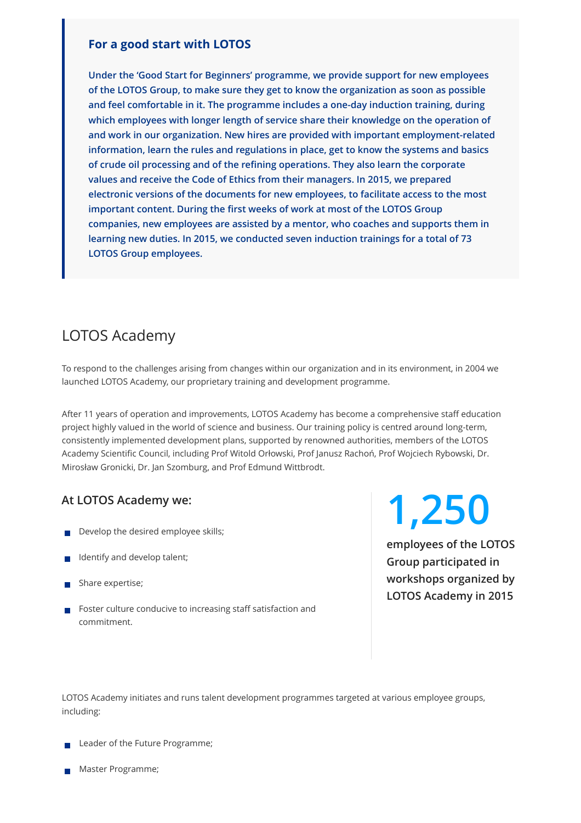#### **For a good start with LOTOS**

**Under the 'Good Start for Beginners' programme, we provide support for new employees of the LOTOS Group, to make sure they get to know the organization as soon as possible and feel comfortable in it. The programme includes a one-day induction training, during which employees with longer length of service share their knowledge on the operation of and work in our organization. New hires are provided with important employment-related information, learn the rules and regulations in place, get to know the systems and basics of crude oil processing and of the refining operations. They also learn the corporate values and receive the Code of Ethics from their managers. In 2015, we prepared electronic versions of the documents for new employees, to facilitate access to the most important content. During the first weeks of work at most of the LOTOS Group companies, new employees are assisted by a mentor, who coaches and supports them in learning new duties. In 2015, we conducted seven induction trainings for a total of 73 LOTOS Group employees.**

## LOTOS Academy

To respond to the challenges arising from changes within our organization and in its environment, in 2004 we launched LOTOS Academy, our proprietary training and development programme.

After 11 years of operation and improvements, LOTOS Academy has become a comprehensive staff education project highly valued in the world of science and business. Our training policy is centred around long-term, consistently implemented development plans, supported by renowned authorities, members of the LOTOS Academy Scientific Council, including Prof Witold Orłowski, Prof Janusz Rachoń, Prof Wojciech Rybowski, Dr. Mirosław Gronicki, Dr. Jan Szomburg, and Prof Edmund Wittbrodt.

- Develop the desired employee skills;
- Identify and develop talent;
- Share expertise;
- Foster culture conducive to increasing staff satisfaction and commitment.

# **At LOTOS Academy we: 1,250**

**employees of the LOTOS Group participated in workshops organized by LOTOS Academy in 2015**

LOTOS Academy initiates and runs talent development programmes targeted at various employee groups, including:

- Leader of the Future Programme;
- Master Programme;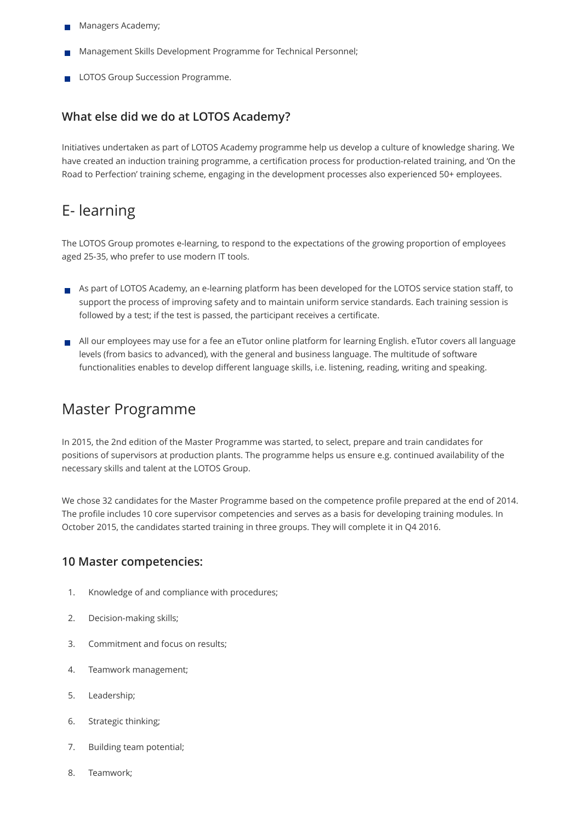- Managers Academy;
- Management Skills Development Programme for Technical Personnel;
- LOTOS Group Succession Programme.

### **What else did we do at LOTOS Academy?**

Initiatives undertaken as part of LOTOS Academy programme help us develop a culture of knowledge sharing. We have created an induction training programme, a certification process for production-related training, and 'On the Road to Perfection' training scheme, engaging in the development processes also experienced 50+ employees.

## E- learning

The LOTOS Group promotes e-learning, to respond to the expectations of the growing proportion of employees aged 25-35, who prefer to use modern IT tools.

- As part of LOTOS Academy, an e-learning platform has been developed for the LOTOS service station staff, to support the process of improving safety and to maintain uniform service standards. Each training session is followed by a test; if the test is passed, the participant receives a certificate.
- All our employees may use for a fee an eTutor online platform for learning English. eTutor covers all language levels (from basics to advanced), with the general and business language. The multitude of software functionalities enables to develop different language skills, i.e. listening, reading, writing and speaking.

## Master Programme

In 2015, the 2nd edition of the Master Programme was started, to select, prepare and train candidates for positions of supervisors at production plants. The programme helps us ensure e.g. continued availability of the necessary skills and talent at the LOTOS Group.

We chose 32 candidates for the Master Programme based on the competence profile prepared at the end of 2014. The profile includes 10 core supervisor competencies and serves as a basis for developing training modules. In October 2015, the candidates started training in three groups. They will complete it in Q4 2016.

#### **10 Master competencies:**

- 1. Knowledge of and compliance with procedures;
- 2. Decision-making skills;
- 3. Commitment and focus on results;
- 4. Teamwork management;
- 5. Leadership;
- 6. Strategic thinking;
- 7. Building team potential;
- 8. Teamwork;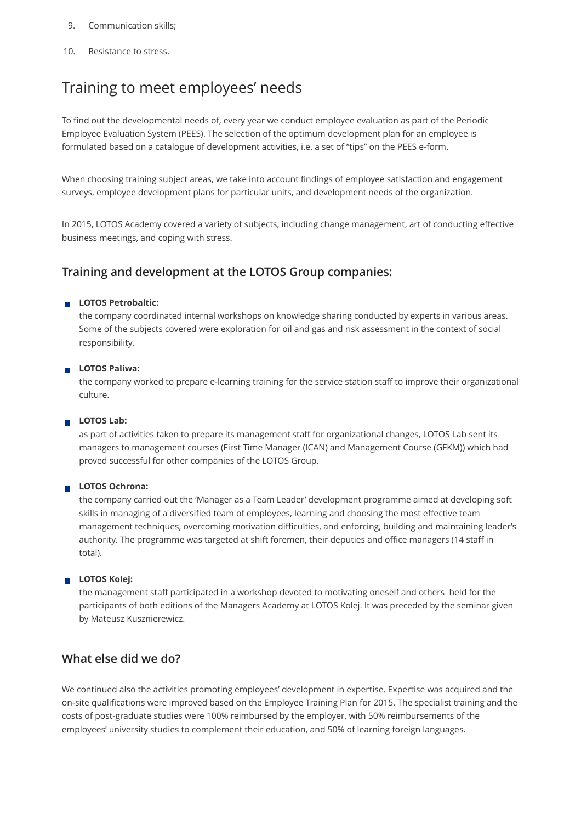#### 9. Communication skills;

10. Resistance to stress.

## Training to meet employees' needs

To find out the developmental needs of, every year we conduct employee evaluation as part of the Periodic Employee Evaluation System (PEES). The selection of the optimum development plan for an employee is formulated based on a catalogue of development activities, i.e. a set of "tips" on the PEES e-form.

When choosing training subject areas, we take into account findings of employee satisfaction and engagement surveys, employee development plans for particular units, and development needs of the organization.

In 2015, LOTOS Academy covered a variety of subjects, including change management, art of conducting effective business meetings, and coping with stress.

## **Training and development at the LOTOS Group companies:**

#### **LOTOS Petrobaltic:**

the company coordinated internal workshops on knowledge sharing conducted by experts in various areas. Some of the subjects covered were exploration for oil and gas and risk assessment in the context of social responsibility.

#### **LOTOS Paliwa:**

the company worked to prepare e-learning training for the service station staff to improve their organizational culture.

#### **LOTOS Lab:**

as part of activities taken to prepare its management staff for organizational changes, LOTOS Lab sent its managers to management courses (First Time Manager (ICAN) and Management Course (GFKM)) which had proved successful for other companies of the LOTOS Group.

#### **LOTOS Ochrona:**

the company carried out the 'Manager as a Team Leader' development programme aimed at developing soft skills in managing of a diversified team of employees, learning and choosing the most effective team management techniques, overcoming motivation difficulties, and enforcing, building and maintaining leader's authority. The programme was targeted at shift foremen, their deputies and office managers (14 staff in total).

#### **LOTOS Kolej:**

the management staff participated in a workshop devoted to motivating oneself and others held for the participants of both editions of the Managers Academy at LOTOS Kolej. It was preceded by the seminar given by Mateusz Kusznierewicz.

## **What else did we do?**

We continued also the activities promoting employees' development in expertise. Expertise was acquired and the on-site qualifications were improved based on the Employee Training Plan for 2015. The specialist training and the costs of post-graduate studies were 100% reimbursed by the employer, with 50% reimbursements of the employees' university studies to complement their education, and 50% of learning foreign languages.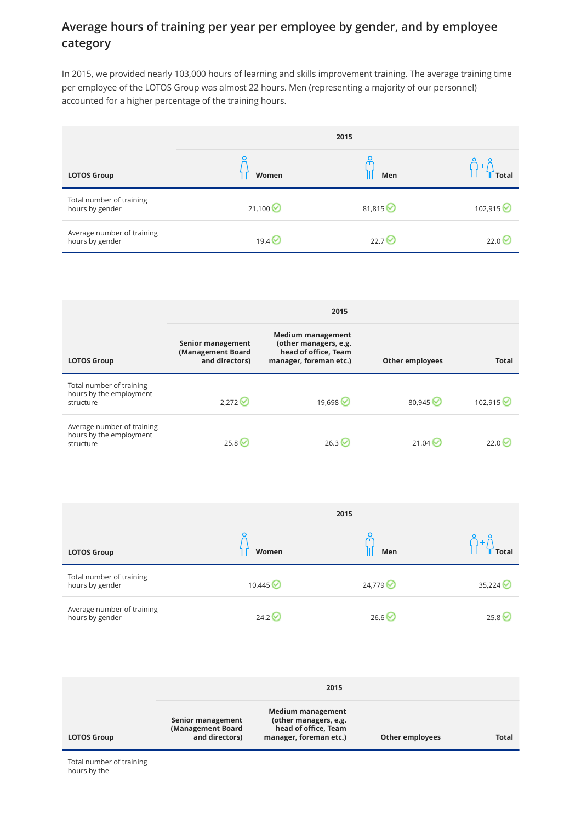## **Average hours of training per year per employee by gender, and by employee category**

In 2015, we provided nearly 103,000 hours of learning and skills improvement training. The average training time per employee of the LOTOS Group was almost 22 hours. Men (representing a majority of our personnel) accounted for a higher percentage of the training hours.

|                                               | 2015              |                   |           |
|-----------------------------------------------|-------------------|-------------------|-----------|
| <b>LOTOS Group</b>                            | Women             | Men               |           |
| Total number of training<br>hours by gender   | 21,100            | 81,815            | 102,915 € |
| Average number of training<br>hours by gender | 19.4 <sup>o</sup> | 22.7 <sup>o</sup> | 22.0      |

|                                                                    | 2015                                                     |                                                                                                     |                        |                   |
|--------------------------------------------------------------------|----------------------------------------------------------|-----------------------------------------------------------------------------------------------------|------------------------|-------------------|
| <b>LOTOS Group</b>                                                 | Senior management<br>(Management Board<br>and directors) | <b>Medium management</b><br>(other managers, e.g.<br>head of office, Team<br>manager, foreman etc.) | <b>Other employees</b> | <b>Total</b>      |
| Total number of training<br>hours by the employment<br>structure   | 2.272                                                    | 19,698 →                                                                                            | 80,945                 | 102,915 ◎         |
| Average number of training<br>hours by the employment<br>structure | 25.8                                                     | 26.3                                                                                                | 21.04 $\vee$           | 22.0 <sup>6</sup> |

|                                               | 2015   |        |        |
|-----------------------------------------------|--------|--------|--------|
| <b>LOTOS Group</b>                            | Women  | Men    | m      |
| Total number of training<br>hours by gender   | 10,445 | 24,779 | 35,224 |
| Average number of training<br>hours by gender | 24.2   | 26.6   | 25.8   |

|                    |                                                          | 2015                                                                                         |                        |              |
|--------------------|----------------------------------------------------------|----------------------------------------------------------------------------------------------|------------------------|--------------|
| <b>LOTOS Group</b> | Senior management<br>(Management Board<br>and directors) | Medium management<br>(other managers, e.g.<br>head of office, Team<br>manager, foreman etc.) | <b>Other employees</b> | <b>Total</b> |

Total number of training hours by the